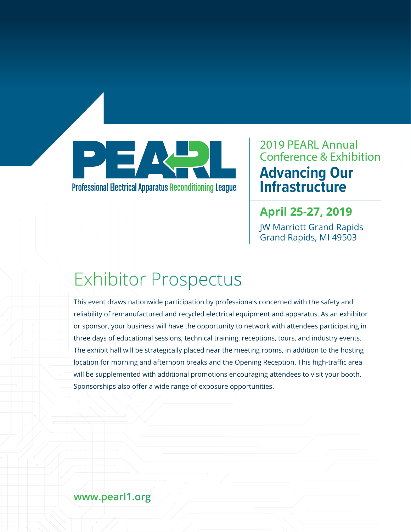

**Professional Electrical Apparatus Reconditioning League** 

### 2019 PEARL Annual Conference & Exhibition **Advancing Our Infrastructure**

### **April 25-27, 2019**

JW Marriott Grand Rapids Grand Rapids, MI 49503

# Exhibitor Prospectus

This event draws nationwide participation by professionals concerned with the safety and reliability of remanufactured and recycled electrical equipment and apparatus. As an exhibitor or sponsor, your business will have the opportunity to network with attendees participating in three days of educational sessions, technical training, receptions, tours, and industry events. The exhibit hall will be strategically placed near the meeting rooms, in addition to the hosting location for morning and afternoon breaks and the Opening Reception. This high-traffic area will be supplemented with additional promotions encouraging attendees to visit your booth. Sponsorships also offer a wide range of exposure opportunities.

### **www.pearl1.org**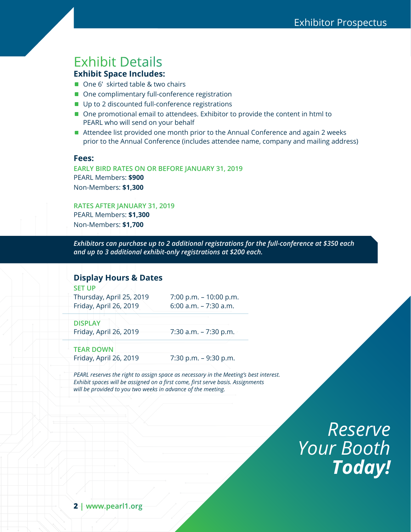## Exhibit Details

#### **Exhibit Space Includes:**

- One 6' skirted table & two chairs
- One complimentary full-conference registration
- Up to 2 discounted full-conference registrations
- One promotional email to attendees. Exhibitor to provide the content in html to PEARL who will send on your behalf
- Attendee list provided one month prior to the Annual Conference and again 2 weeks prior to the Annual Conference (includes attendee name, company and mailing address)

#### **Fees:**

**EARLY BIRD RATES ON OR BEFORE JANUARY 31, 2019** PEARL Members: **\$900** Non-Members: **\$1,300** 

**RATES AFTER JANUARY 31, 2019** PEARL Members: **\$1,300**  Non-Members: **\$1,700** 

*Exhibitors can purchase up to 2 additional registrations for the full-conference at \$350 each and up to 3 additional exhibit-only registrations at \$200 each.*

#### **Display Hours & Dates**

**SET UP**

Thursday, April 25, 2019 7:00 p.m. – 10:00 p.m. Friday, April 26, 2019 6:00 a.m. - 7:30 a.m.

**DISPLAY**

Friday, April 26, 2019 7:30 a.m. - 7:30 p.m.

**TEAR DOWN** Friday, April 26, 2019 7:30 p.m. – 9:30 p.m.

*PEARL reserves the right to assign space as necessary in the Meeting's best interest. Exhibit spaces will be assigned on a first come, first serve basis. Assignments will be provided to you two weeks in advance of the meeting.*

> *Reserve Your Booth Today!*

**2** | **www.pearl1.org**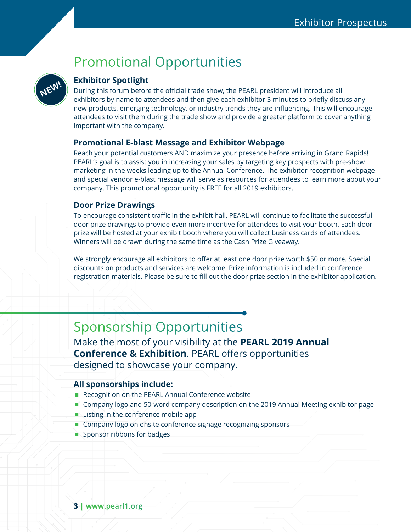## Promotional Opportunities



#### **Exhibitor Spotlight**

During this forum before the official trade show, the PEARL president will introduce all exhibitors by name to attendees and then give each exhibitor 3 minutes to briefly discuss any new products, emerging technology, or industry trends they are influencing. This will encourage attendees to visit them during the trade show and provide a greater platform to cover anything important with the company.

#### **Promotional E-blast Message and Exhibitor Webpage**

Reach your potential customers AND maximize your presence before arriving in Grand Rapids! PEARL's goal is to assist you in increasing your sales by targeting key prospects with pre-show marketing in the weeks leading up to the Annual Conference. The exhibitor recognition webpage and special vendor e-blast message will serve as resources for attendees to learn more about your company. This promotional opportunity is FREE for all 2019 exhibitors.

#### **Door Prize Drawings**

To encourage consistent traffic in the exhibit hall, PEARL will continue to facilitate the successful door prize drawings to provide even more incentive for attendees to visit your booth. Each door prize will be hosted at your exhibit booth where you will collect business cards of attendees. Winners will be drawn during the same time as the Cash Prize Giveaway.

We strongly encourage all exhibitors to offer at least one door prize worth \$50 or more. Special discounts on products and services are welcome. Prize information is included in conference registration materials. Please be sure to fill out the door prize section in the exhibitor application.

### Sponsorship Opportunities

Make the most of your visibility at the **PEARL 2019 Annual Conference & Exhibition**. PEARL offers opportunities designed to showcase your company.

#### **All sponsorships include:**

- Recognition on the PEARL Annual Conference website
- Company logo and 50-word company description on the 2019 Annual Meeting exhibitor page
- **Listing in the conference mobile app**
- Company logo on onsite conference signage recognizing sponsors
- Sponsor ribbons for badges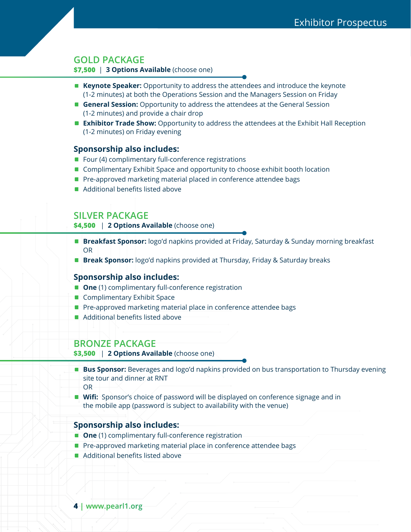#### **GOLD PACKAGE**

**\$7,500** | **3 Options Available** (choose one)

- **Keynote Speaker:** Opportunity to address the attendees and introduce the keynote (1-2 minutes) at both the Operations Session and the Managers Session on Friday
- **General Session:** Opportunity to address the attendees at the General Session (1-2 minutes) and provide a chair drop
- **Exhibitor Trade Show:** Opportunity to address the attendees at the Exhibit Hall Reception (1-2 minutes) on Friday evening

#### **Sponsorship also includes:**

- Four (4) complimentary full-conference registrations
- Complimentary Exhibit Space and opportunity to choose exhibit booth location
- Pre-approved marketing material placed in conference attendee bags
- Additional benefits listed above

#### **SILVER PACKAGE**

**\$4,500** | **2 Options Available** (choose one)

- **Breakfast Sponsor:** logo'd napkins provided at Friday, Saturday & Sunday morning breakfast OR
- **Break Sponsor:** logo'd napkins provided at Thursday, Friday & Saturday breaks

#### **Sponsorship also includes:**

- **One** (1) complimentary full-conference registration
- **E** Complimentary Exhibit Space
- **Pre-approved marketing material place in conference attendee bags**
- Additional benefits listed above

#### **BRONZE PACKAGE**

**\$3,500** | **2 Options Available** (choose one)

- **Bus Sponsor:** Beverages and logo'd napkins provided on bus transportation to Thursday evening site tour and dinner at RNT OR
- **Wifi:** Sponsor's choice of password will be displayed on conference signage and in the mobile app (password is subject to availability with the venue)

#### **Sponsorship also includes:**

- **Diamond Complimentary full-conference registration**
- **Pre-approved marketing material place in conference attendee bags**
- Additional benefits listed above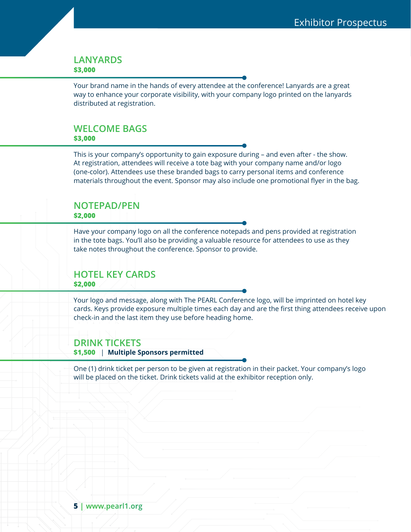#### **LANYARDS \$3,000**

Your brand name in the hands of every attendee at the conference! Lanyards are a great way to enhance your corporate visibility, with your company logo printed on the lanyards distributed at registration.

#### **WELCOME BAGS \$3,000**

This is your company's opportunity to gain exposure during – and even after - the show. At registration, attendees will receive a tote bag with your company name and/or logo (one-color). Attendees use these branded bags to carry personal items and conference materials throughout the event. Sponsor may also include one promotional flyer in the bag.

### **NOTEPAD/PEN**

#### **\$2,000**

Have your company logo on all the conference notepads and pens provided at registration in the tote bags. You'll also be providing a valuable resource for attendees to use as they take notes throughout the conference. Sponsor to provide.

#### **HOTEL KEY CARDS \$2,000**

Your logo and message, along with The PEARL Conference logo, will be imprinted on hotel key cards. Keys provide exposure multiple times each day and are the first thing attendees receive upon check-in and the last item they use before heading home.

#### **DRINK TICKETS**

**\$1,500** | **Multiple Sponsors permitted** 

One (1) drink ticket per person to be given at registration in their packet. Your company's logo will be placed on the ticket. Drink tickets valid at the exhibitor reception only.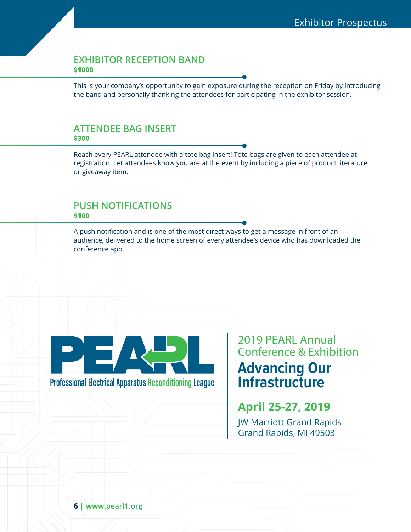#### **EXHIBITOR RECEPTION BAND \$1000**

This is your company's opportunity to gain exposure during the reception on Friday by introducing the band and personally thanking the attendees for participating in the exhibitor session.

#### **ATTENDEE BAG INSERT \$300**

Reach every PEARL attendee with a tote bag insert! Tote bags are given to each attendee at registration. Let attendees know you are at the event by including a piece of product literature or giveaway item.

#### **PUSH NOTIFICATIONS \$100**

A push notification and is one of the most direct ways to get a message in front of an audience, delivered to the home screen of every attendee's device who has downloaded the conference app.



**Professional Electrical Apparatus Reconditioning League** 

### 2019 PEARL Annual Conference & Exhibition **Advancing Our Infrastructure**

**April 25-27, 2019** JW Marriott Grand Rapids Grand Rapids, MI 49503